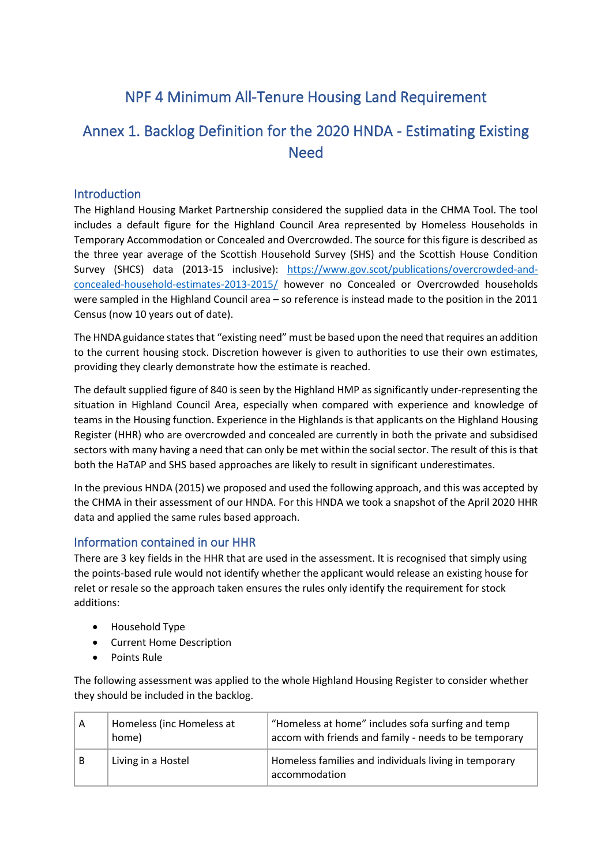# NPF 4 Minimum All-Tenure Housing Land Requirement

## Annex 1. Backlog Definition for the 2020 HNDA - Estimating Existing Need

### **Introduction**

The Highland Housing Market Partnership considered the supplied data in the CHMA Tool. The tool includes a default figure for the Highland Council Area represented by Homeless Households in Temporary Accommodation or Concealed and Overcrowded. The source for this figure is described as the three year average of the Scottish Household Survey (SHS) and the Scottish House Condition Survey (SHCS) data (2013-15 inclusive): [https://www.gov.scot/publications/overcrowded-and](https://www.gov.scot/publications/overcrowded-and-concealed-household-estimates-2013-2015/)[concealed-household-estimates-2013-2015/](https://www.gov.scot/publications/overcrowded-and-concealed-household-estimates-2013-2015/) however no Concealed or Overcrowded households were sampled in the Highland Council area – so reference is instead made to the position in the 2011 Census (now 10 years out of date).

The HNDA guidance states that "existing need" must be based upon the need that requires an addition to the current housing stock. Discretion however is given to authorities to use their own estimates, providing they clearly demonstrate how the estimate is reached.

The default supplied figure of 840 is seen by the Highland HMP as significantly under-representing the situation in Highland Council Area, especially when compared with experience and knowledge of teams in the Housing function. Experience in the Highlands is that applicants on the Highland Housing Register (HHR) who are overcrowded and concealed are currently in both the private and subsidised sectors with many having a need that can only be met within the social sector. The result of this is that both the HaTAP and SHS based approaches are likely to result in significant underestimates.

In the previous HNDA (2015) we proposed and used the following approach, and this was accepted by the CHMA in their assessment of our HNDA. For this HNDA we took a snapshot of the April 2020 HHR data and applied the same rules based approach.

#### Information contained in our HHR

There are 3 key fields in the HHR that are used in the assessment. It is recognised that simply using the points-based rule would not identify whether the applicant would release an existing house for relet or resale so the approach taken ensures the rules only identify the requirement for stock additions:

- Household Type
- Current Home Description
- Points Rule

The following assessment was applied to the whole Highland Housing Register to consider whether they should be included in the backlog.

| A | Homeless (inc Homeless at<br>home) | "Homeless at home" includes sofa surfing and temp<br>accom with friends and family - needs to be temporary |  |  |  |  |
|---|------------------------------------|------------------------------------------------------------------------------------------------------------|--|--|--|--|
| B | Living in a Hostel                 | Homeless families and individuals living in temporary<br>accommodation                                     |  |  |  |  |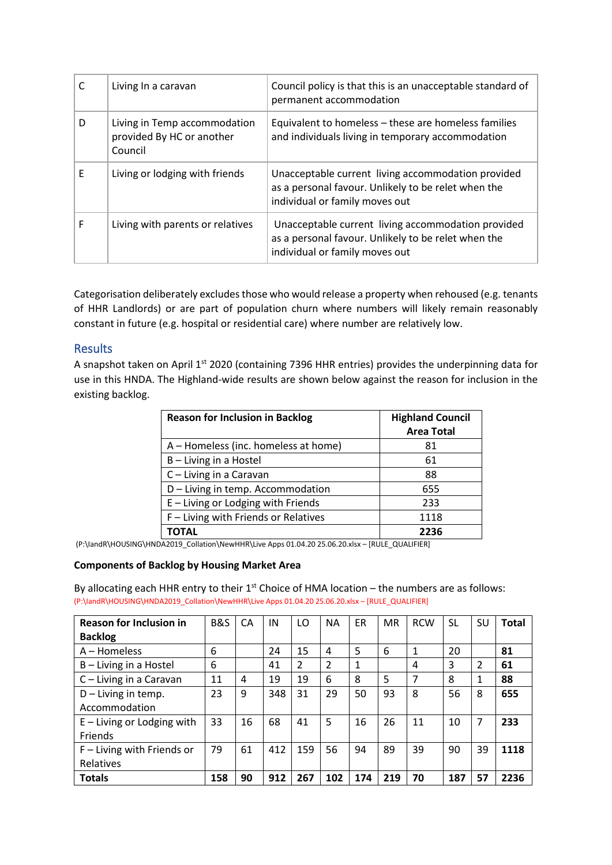|   | Living In a caravan                                                  | Council policy is that this is an unacceptable standard of<br>permanent accommodation                                                       |
|---|----------------------------------------------------------------------|---------------------------------------------------------------------------------------------------------------------------------------------|
| D | Living in Temp accommodation<br>provided By HC or another<br>Council | Equivalent to homeless - these are homeless families<br>and individuals living in temporary accommodation                                   |
| F | Living or lodging with friends                                       | Unacceptable current living accommodation provided<br>as a personal favour. Unlikely to be relet when the<br>individual or family moves out |
| F | Living with parents or relatives                                     | Unacceptable current living accommodation provided<br>as a personal favour. Unlikely to be relet when the<br>individual or family moves out |

Categorisation deliberately excludes those who would release a property when rehoused (e.g. tenants of HHR Landlords) or are part of population churn where numbers will likely remain reasonably constant in future (e.g. hospital or residential care) where number are relatively low.

#### Results

A snapshot taken on April 1<sup>st</sup> 2020 (containing 7396 HHR entries) provides the underpinning data for use in this HNDA. The Highland-wide results are shown below against the reason for inclusion in the existing backlog.

| <b>Reason for Inclusion in Backlog</b> | <b>Highland Council</b><br><b>Area Total</b> |  |  |  |
|----------------------------------------|----------------------------------------------|--|--|--|
| A – Homeless (inc. homeless at home)   | 81                                           |  |  |  |
| B - Living in a Hostel                 | 61                                           |  |  |  |
| C - Living in a Caravan                | 88                                           |  |  |  |
| D - Living in temp. Accommodation      | 655                                          |  |  |  |
| E - Living or Lodging with Friends     | 233                                          |  |  |  |
| F - Living with Friends or Relatives   | 1118                                         |  |  |  |
| ΤΟΤΑL                                  | 2236                                         |  |  |  |

(P:\IandR\HOUSING\HNDA2019\_Collation\NewHHR\Live Apps 01.04.20 25.06.20.xlsx – [RULE\_QUALIFIER]

#### **Components of Backlog by Housing Market Area**

By allocating each HHR entry to their  $1<sup>st</sup>$  Choice of HMA location – the numbers are as follows: (P:\IandR\HOUSING\HNDA2019\_Collation\NewHHR\Live Apps 01.04.20 25.06.20.xlsx – [RULE\_QUALIFIER]

| <b>Reason for Inclusion in</b> | <b>B&amp;S</b> | CA | IN  | LO             | <b>NA</b>      | ER  | <b>MR</b> | <b>RCW</b>  | <b>SL</b> | SU | <b>Total</b> |
|--------------------------------|----------------|----|-----|----------------|----------------|-----|-----------|-------------|-----------|----|--------------|
| <b>Backlog</b>                 |                |    |     |                |                |     |           |             |           |    |              |
| $A -$ Homeless                 | 6              |    | 24  | 15             | 4              | 5   | 6         | $\mathbf 1$ | 20        |    | 81           |
| B - Living in a Hostel         | 6              |    | 41  | $\mathfrak{p}$ | $\mathfrak{p}$ | 1   |           | 4           | 3         | 2  | 61           |
| C - Living in a Caravan        | 11             | 4  | 19  | 19             | 6              | 8   | 5         | 7           | 8         | 1  | 88           |
| $D$ – Living in temp.          | 23             | 9  | 348 | 31             | 29             | 50  | 93        | 8           | 56        | 8  | 655          |
| Accommodation                  |                |    |     |                |                |     |           |             |           |    |              |
| $E -$ Living or Lodging with   | 33             | 16 | 68  | 41             | 5              | 16  | 26        | 11          | 10        | 7  | 233          |
| <b>Friends</b>                 |                |    |     |                |                |     |           |             |           |    |              |
| F - Living with Friends or     | 79             | 61 | 412 | 159            | 56             | 94  | 89        | 39          | 90        | 39 | 1118         |
| Relatives                      |                |    |     |                |                |     |           |             |           |    |              |
| <b>Totals</b>                  | 158            | 90 | 912 | 267            | 102            | 174 | 219       | 70          | 187       | 57 | 2236         |